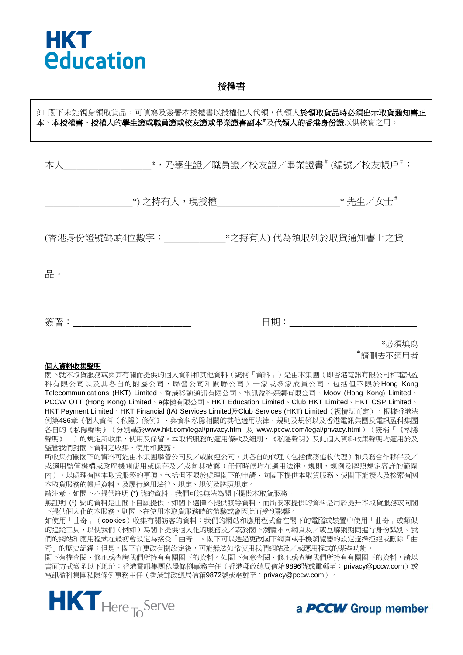

#### 授權書

# 本人\_\_\_\_\_\_\_\_\_\_\_\_\_\_\_\_\_\_\_\_\_\_\_\_\_\_\_\_\_\_\_\_\*,乃學生證/職員證/校友證/畢業證書# (編號/校友帳戶#: \_\_\_\_\_\_\_\_\_\_\_\_\_\_\_\_\_\_\_\_\*) 之持有人,現授權\_\_\_\_\_\_\_\_\_\_\_\_\_\_\_\_\_\_\_\_\_\_\_\_\_\_\_\_\* 先生/女士# (香港身份證號碼頭4位數字:\_\_\_\_\_\_\_\_\_\_\_\_\_\_\*之持有人) 代為領取列於取貨通知書上之貨 品。 如 閣下未能親身領取貨品,可填寫及簽署本授權書以授權他人代領,代領人於領取貨品時必須出示取貨通知書正 本、本授權書、授權人的學生證或職員證或校友證或畢業證書副本#及代領人的香港身份證以供核實之用。

簽署:\_\_\_\_\_\_\_\_\_\_\_\_\_\_\_\_\_\_\_\_\_\_\_\_\_\_\_ 日期:\_\_\_\_\_\_\_\_\_\_\_\_\_\_\_\_\_\_\_\_\_\_\_\_\_\_\_\_\_

\*必須填寫 #請刪去不適用者

#### 個人資料收集聲明

閣下就本取貨服務或與其有關而提供的個人資料和其他資料(統稱「資料」)是由本集團(即香港電訊有限公司和電訊盈 科有限公司以及其各自的附屬公司、聯營公司和關聯公司)一家或多家成員公司,包括但不限於 Hong Kong Telecommunications (HKT) Limited、香港移動通訊有限公司、電訊盈科媒體有限公司、Moov (Hong Kong) Limited、 PCCW OTT (Hong Kong) Limited、e体健有限公司、HKT Education Limited、Club HKT Limited、HKT CSP Limited、 HKT Payment Limited、HKT Financial (IA) Services Limited及Club Services (HKT) Limited (視情況而定),根據香港法 例第486章《個人資料(私隱)條例》、與資料私隱相關的其他適用法律、規則及規例以及香港電訊集團及電訊盈科集團 各自的《私隱聲明》(分別載於www.hkt.com/legal/privacy.html 及 www.pccw.com/legal/privacy.html) (統稱「《私隱 聲明》」)的規定所收集、使用及保留。本取貨服務的適用條款及細則、《私隱聲明》及此個人資料收集聲明均適用於及 監管我們對閣下資料之收集、使用和披露。

所收集有關閣下的資料可能由本集團聯營公司及/或關連公司、其各自的代理(包括債務追收代理)和業務合作夥伴及/ 或適用監管機構或政府機關使用或保存及/或向其披露(任何時候均在適用法律、規則、規例及牌照規定容許的範圍 內),以處理有關本取貨服務的事項,包括但不限於處理閣下的申請、向閣下提供本取貨服務、使閣下能接入及檢索有關 本取貨服務的帳戶資料,及履行適用法律、規定、規例及牌照規定。

請注意,如閣下不提供註明(\*)號的資料,我們可能無法為閣下提供本取貨服務。

無註明 (\*) 號的資料是由閣下自願提供。如閣下選擇不提供該等資料,而所要求提供的資料是用於提升本取貨服務或向閣 下提供個人化的本服務,則閣下在使用本取貨服務時的體驗或會因此而受到影響。

如使用「曲奇」(cookies)收集有關訪客的資料:我們的網站和應用程式會在閣下的電腦或裝置中使用「曲奇」或類似 的追蹤工具,以便我們(例如)為閣下提供個人化的服務及/或於閣下瀏覽不同網頁及/或互聯網期間進行身份識別。我 們的網站和應用程式在最初會設定為接受「曲奇」。閣下可以透過更改閣下網頁或手機瀏覽器的設定選擇拒絕或刪除「曲 奇」的歷史記錄;但是,閣下在更改有關設定後,可能無法如常使用我們網站及/或應用程式的某些功能。

閣下有權查閱、修正或查詢我們所持有有關閣下的資料。如閣下有意查閱、修正或查詢我們所持有有關閣下的資料,請以 書面方式致函以下地址:香港電訊集團私隱條例事務主任(香港郵政總局信箱9896號或電郵至: privacy@pccw.com)或 電訊盈科集團私隱條例事務主任(香港郵政總局信箱9872號或電郵至:privacy@pccw.com)。



a **PCCW** Group member